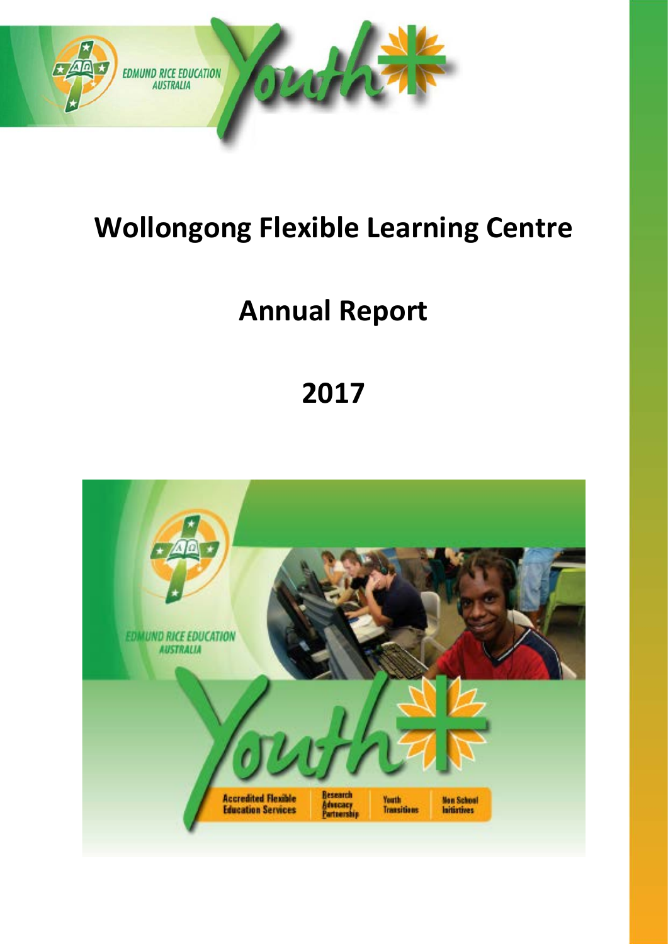

# **Wollongong Flexible Learning Centre**

# **Annual Report**

# **2017**

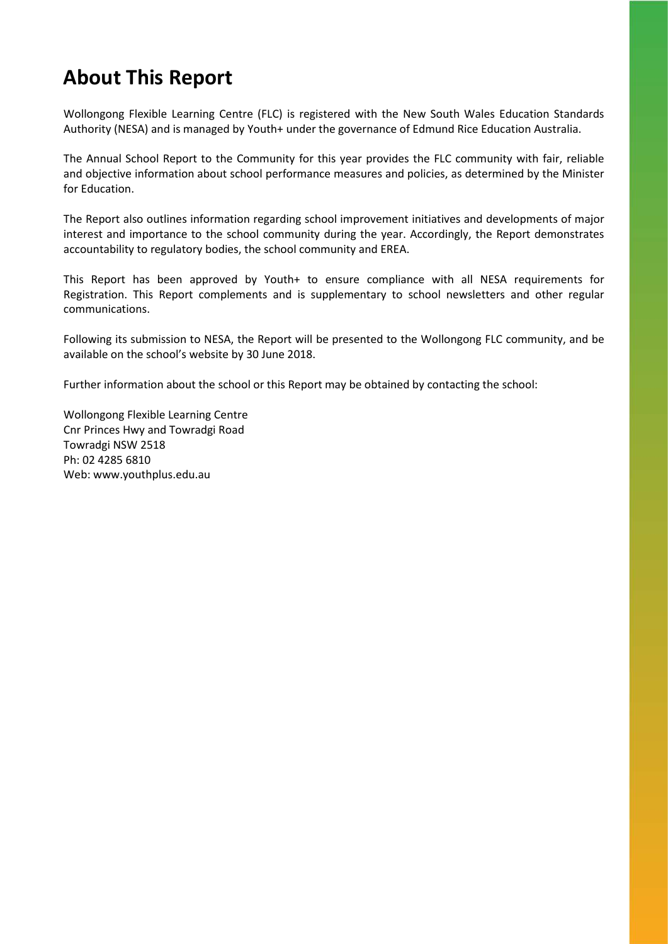### **About This Report**

Wollongong Flexible Learning Centre (FLC) is registered with the New South Wales Education Standards Authority (NESA) and is managed by Youth+ under the governance of Edmund Rice Education Australia.

The Annual School Report to the Community for this year provides the FLC community with fair, reliable and objective information about school performance measures and policies, as determined by the Minister for Education.

The Report also outlines information regarding school improvement initiatives and developments of major interest and importance to the school community during the year. Accordingly, the Report demonstrates accountability to regulatory bodies, the school community and EREA.

This Report has been approved by Youth+ to ensure compliance with all NESA requirements for Registration. This Report complements and is supplementary to school newsletters and other regular communications.

Following its submission to NESA, the Report will be presented to the Wollongong FLC community, and be available on the school's website by 30 June 2018.

Further information about the school or this Report may be obtained by contacting the school:

Wollongong Flexible Learning Centre Cnr Princes Hwy and Towradgi Road Towradgi NSW 2518 Ph: 02 4285 6810 Web: www.youthplus.edu.au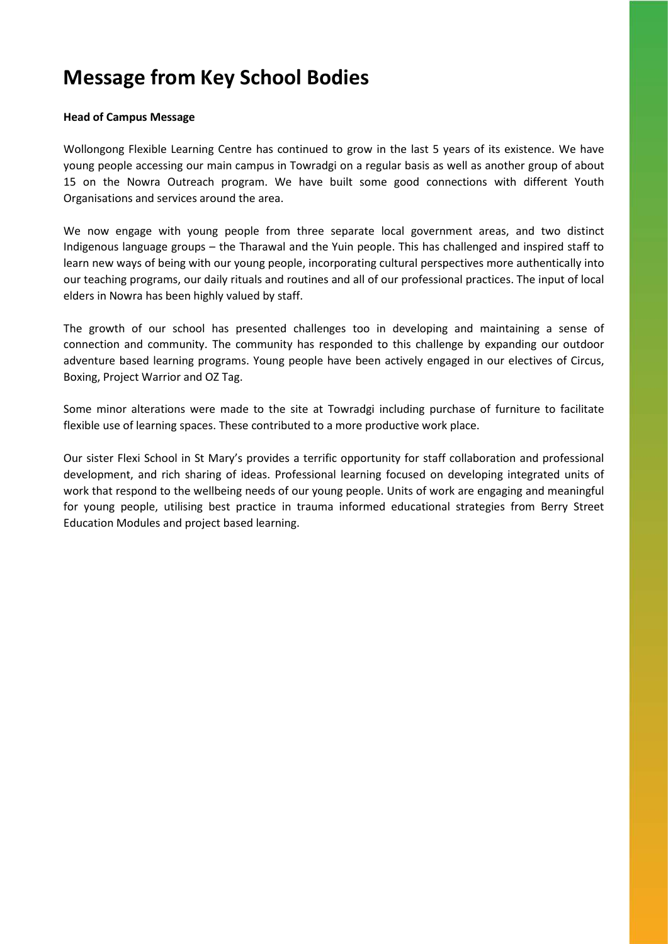### **Message from Key School Bodies**

#### **Head of Campus Message**

Wollongong Flexible Learning Centre has continued to grow in the last 5 years of its existence. We have young people accessing our main campus in Towradgi on a regular basis as well as another group of about 15 on the Nowra Outreach program. We have built some good connections with different Youth Organisations and services around the area.

We now engage with young people from three separate local government areas, and two distinct Indigenous language groups – the Tharawal and the Yuin people. This has challenged and inspired staff to learn new ways of being with our young people, incorporating cultural perspectives more authentically into our teaching programs, our daily rituals and routines and all of our professional practices. The input of local elders in Nowra has been highly valued by staff.

The growth of our school has presented challenges too in developing and maintaining a sense of connection and community. The community has responded to this challenge by expanding our outdoor adventure based learning programs. Young people have been actively engaged in our electives of Circus, Boxing, Project Warrior and OZ Tag.

Some minor alterations were made to the site at Towradgi including purchase of furniture to facilitate flexible use of learning spaces. These contributed to a more productive work place.

Our sister Flexi School in St Mary's provides a terrific opportunity for staff collaboration and professional development, and rich sharing of ideas. Professional learning focused on developing integrated units of work that respond to the wellbeing needs of our young people. Units of work are engaging and meaningful for young people, utilising best practice in trauma informed educational strategies from Berry Street Education Modules and project based learning.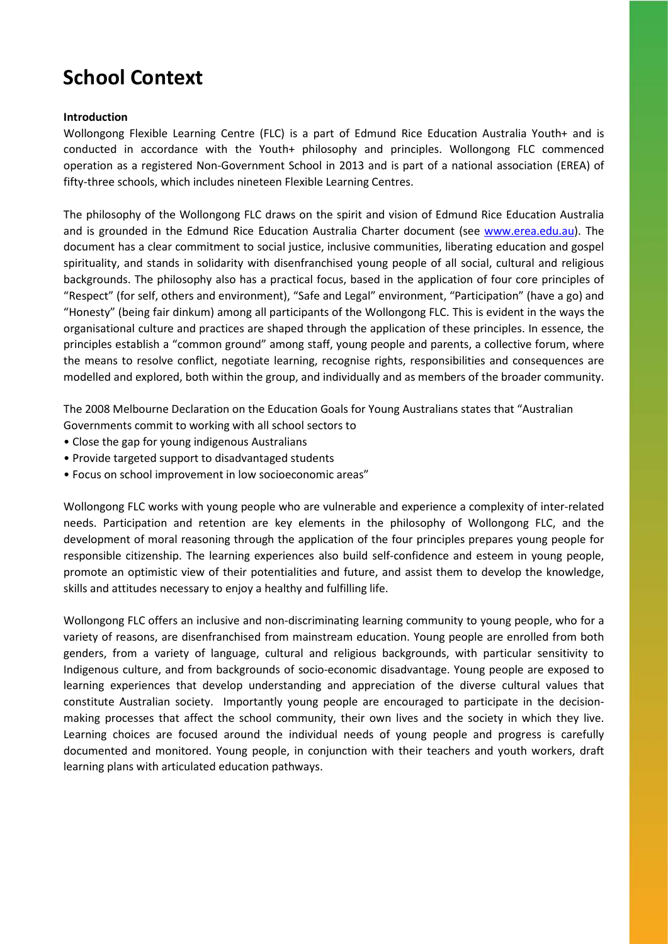## **School Context**

#### **Introduction**

Wollongong Flexible Learning Centre (FLC) is a part of Edmund Rice Education Australia Youth+ and is conducted in accordance with the Youth+ philosophy and principles. Wollongong FLC commenced operation as a registered Non-Government School in 2013 and is part of a national association (EREA) of fifty-three schools, which includes nineteen Flexible Learning Centres.

The philosophy of the Wollongong FLC draws on the spirit and vision of Edmund Rice Education Australia and is grounded in the Edmund Rice Education Australia Charter document (see [www.erea.edu.au\)](http://www.erea.edu.au/). The document has a clear commitment to social justice, inclusive communities, liberating education and gospel spirituality, and stands in solidarity with disenfranchised young people of all social, cultural and religious backgrounds. The philosophy also has a practical focus, based in the application of four core principles of "Respect" (for self, others and environment), "Safe and Legal" environment, "Participation" (have a go) and "Honesty" (being fair dinkum) among all participants of the Wollongong FLC. This is evident in the ways the organisational culture and practices are shaped through the application of these principles. In essence, the principles establish a "common ground" among staff, young people and parents, a collective forum, where the means to resolve conflict, negotiate learning, recognise rights, responsibilities and consequences are modelled and explored, both within the group, and individually and as members of the broader community.

The 2008 Melbourne Declaration on the Education Goals for Young Australians states that "Australian Governments commit to working with all school sectors to

- Close the gap for young indigenous Australians
- Provide targeted support to disadvantaged students
- Focus on school improvement in low socioeconomic areas"

Wollongong FLC works with young people who are vulnerable and experience a complexity of inter-related needs. Participation and retention are key elements in the philosophy of Wollongong FLC, and the development of moral reasoning through the application of the four principles prepares young people for responsible citizenship. The learning experiences also build self-confidence and esteem in young people, promote an optimistic view of their potentialities and future, and assist them to develop the knowledge, skills and attitudes necessary to enjoy a healthy and fulfilling life.

Wollongong FLC offers an inclusive and non-discriminating learning community to young people, who for a variety of reasons, are disenfranchised from mainstream education. Young people are enrolled from both genders, from a variety of language, cultural and religious backgrounds, with particular sensitivity to Indigenous culture, and from backgrounds of socio-economic disadvantage. Young people are exposed to learning experiences that develop understanding and appreciation of the diverse cultural values that constitute Australian society. Importantly young people are encouraged to participate in the decisionmaking processes that affect the school community, their own lives and the society in which they live. Learning choices are focused around the individual needs of young people and progress is carefully documented and monitored. Young people, in conjunction with their teachers and youth workers, draft learning plans with articulated education pathways.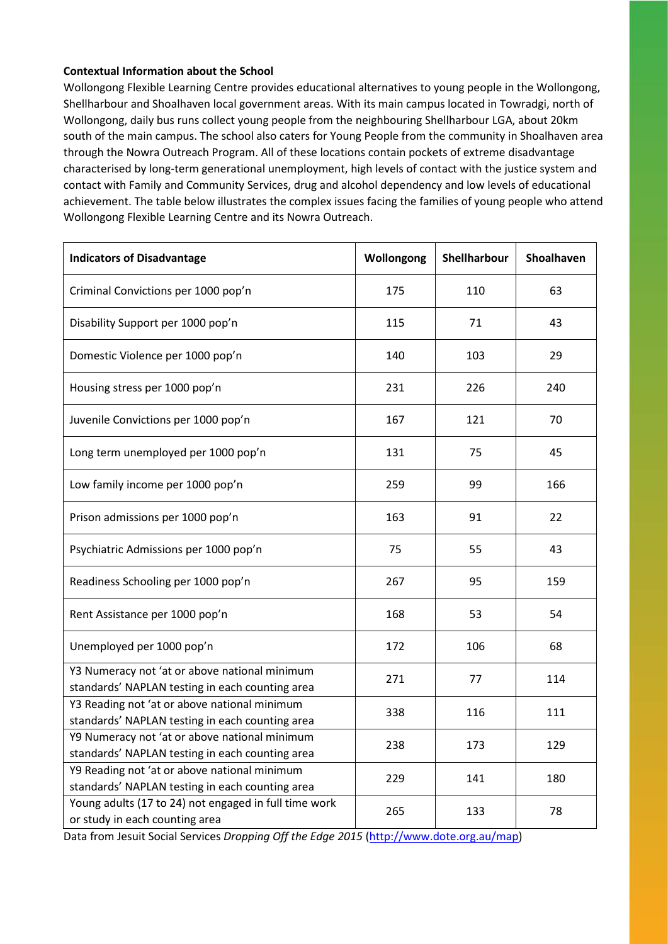#### **Contextual Information about the School**

Wollongong Flexible Learning Centre provides educational alternatives to young people in the Wollongong, Shellharbour and Shoalhaven local government areas. With its main campus located in Towradgi, north of Wollongong, daily bus runs collect young people from the neighbouring Shellharbour LGA, about 20km south of the main campus. The school also caters for Young People from the community in Shoalhaven area through the Nowra Outreach Program. All of these locations contain pockets of extreme disadvantage characterised by long-term generational unemployment, high levels of contact with the justice system and contact with Family and Community Services, drug and alcohol dependency and low levels of educational achievement. The table below illustrates the complex issues facing the families of young people who attend Wollongong Flexible Learning Centre and its Nowra Outreach.

| <b>Indicators of Disadvantage</b>                                                                | Wollongong | Shellharbour | Shoalhaven |
|--------------------------------------------------------------------------------------------------|------------|--------------|------------|
| Criminal Convictions per 1000 pop'n                                                              | 175        | 110          | 63         |
| Disability Support per 1000 pop'n                                                                | 115        | 71           | 43         |
| Domestic Violence per 1000 pop'n                                                                 | 140        | 103          | 29         |
| Housing stress per 1000 pop'n                                                                    | 231        | 226          | 240        |
| Juvenile Convictions per 1000 pop'n                                                              | 167        | 121          | 70         |
| Long term unemployed per 1000 pop'n                                                              | 131        | 75           | 45         |
| Low family income per 1000 pop'n                                                                 | 259        | 99           | 166        |
| Prison admissions per 1000 pop'n                                                                 | 163        | 91           | 22         |
| Psychiatric Admissions per 1000 pop'n                                                            | 75         | 55           | 43         |
| Readiness Schooling per 1000 pop'n                                                               | 267        | 95           | 159        |
| Rent Assistance per 1000 pop'n                                                                   | 168        | 53           | 54         |
| Unemployed per 1000 pop'n                                                                        | 172        | 106          | 68         |
| Y3 Numeracy not 'at or above national minimum<br>standards' NAPLAN testing in each counting area | 271        | 77           | 114        |
| Y3 Reading not 'at or above national minimum<br>standards' NAPLAN testing in each counting area  | 338        | 116          | 111        |
| Y9 Numeracy not 'at or above national minimum<br>standards' NAPLAN testing in each counting area | 238        | 173          | 129        |
| Y9 Reading not 'at or above national minimum<br>standards' NAPLAN testing in each counting area  | 229        | 141          | 180        |
| Young adults (17 to 24) not engaged in full time work<br>or study in each counting area          | 265        | 133          | 78         |

Data from Jesuit Social Services *Dropping Off the Edge 2015* [\(http://www.dote.org.au/map\)](http://www.dote.org.au/map)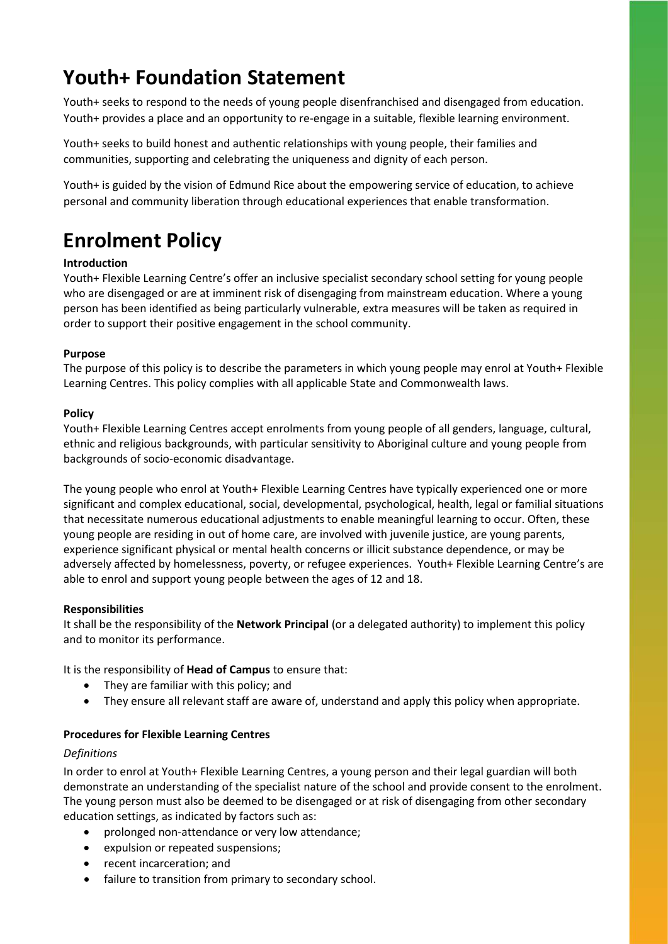### **Youth+ Foundation Statement**

Youth+ seeks to respond to the needs of young people disenfranchised and disengaged from education. Youth+ provides a place and an opportunity to re-engage in a suitable, flexible learning environment.

Youth+ seeks to build honest and authentic relationships with young people, their families and communities, supporting and celebrating the uniqueness and dignity of each person.

Youth+ is guided by the vision of Edmund Rice about the empowering service of education, to achieve personal and community liberation through educational experiences that enable transformation.

## **Enrolment Policy**

#### **Introduction**

Youth+ Flexible Learning Centre's offer an inclusive specialist secondary school setting for young people who are disengaged or are at imminent risk of disengaging from mainstream education. Where a young person has been identified as being particularly vulnerable, extra measures will be taken as required in order to support their positive engagement in the school community.

#### **Purpose**

The purpose of this policy is to describe the parameters in which young people may enrol at Youth+ Flexible Learning Centres. This policy complies with all applicable State and Commonwealth laws.

#### **Policy**

Youth+ Flexible Learning Centres accept enrolments from young people of all genders, language, cultural, ethnic and religious backgrounds, with particular sensitivity to Aboriginal culture and young people from backgrounds of socio-economic disadvantage.

The young people who enrol at Youth+ Flexible Learning Centres have typically experienced one or more significant and complex educational, social, developmental, psychological, health, legal or familial situations that necessitate numerous educational adjustments to enable meaningful learning to occur. Often, these young people are residing in out of home care, are involved with juvenile justice, are young parents, experience significant physical or mental health concerns or illicit substance dependence, or may be adversely affected by homelessness, poverty, or refugee experiences. Youth+ Flexible Learning Centre's are able to enrol and support young people between the ages of 12 and 18.

#### **Responsibilities**

It shall be the responsibility of the **Network Principal** (or a delegated authority) to implement this policy and to monitor its performance.

It is the responsibility of **Head of Campus** to ensure that:

- They are familiar with this policy; and
- They ensure all relevant staff are aware of, understand and apply this policy when appropriate.

#### **Procedures for Flexible Learning Centres**

#### *Definitions*

In order to enrol at Youth+ Flexible Learning Centres, a young person and their legal guardian will both demonstrate an understanding of the specialist nature of the school and provide consent to the enrolment. The young person must also be deemed to be disengaged or at risk of disengaging from other secondary education settings, as indicated by factors such as:

- prolonged non-attendance or very low attendance;
- expulsion or repeated suspensions;
- recent incarceration; and
- failure to transition from primary to secondary school.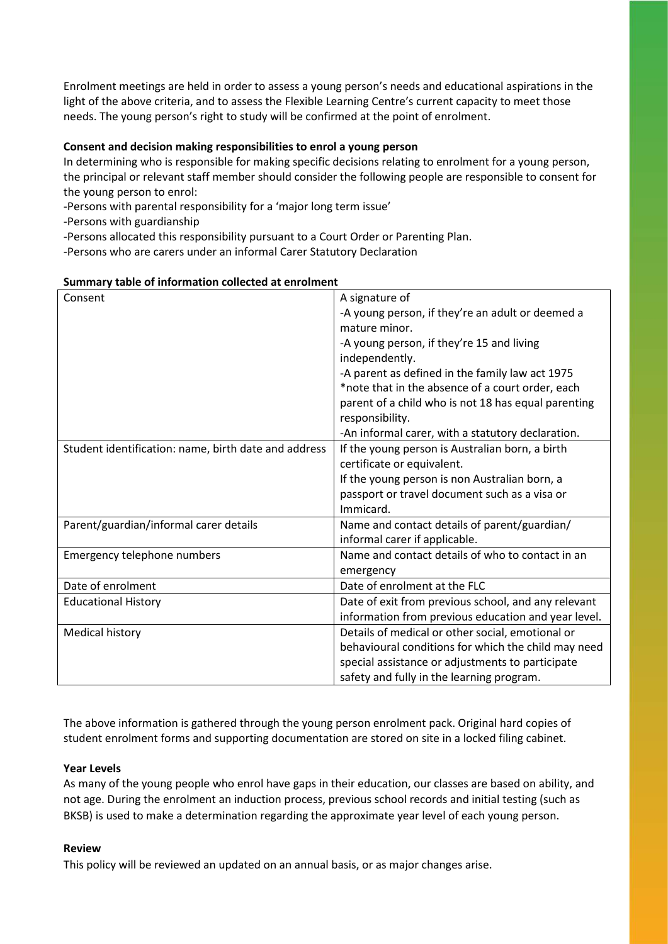Enrolment meetings are held in order to assess a young person's needs and educational aspirations in the light of the above criteria, and to assess the Flexible Learning Centre's current capacity to meet those needs. The young person's right to study will be confirmed at the point of enrolment.

#### **Consent and decision making responsibilities to enrol a young person**

In determining who is responsible for making specific decisions relating to enrolment for a young person, the principal or relevant staff member should consider the following people are responsible to consent for the young person to enrol:

-Persons with parental responsibility for a 'major long term issue'

-Persons with guardianship

-Persons allocated this responsibility pursuant to a Court Order or Parenting Plan.

-Persons who are carers under an informal Carer Statutory Declaration

| Summary table of information collected at enrolment  |                                                     |
|------------------------------------------------------|-----------------------------------------------------|
| Consent                                              | A signature of                                      |
|                                                      | -A young person, if they're an adult or deemed a    |
|                                                      | mature minor.                                       |
|                                                      | -A young person, if they're 15 and living           |
|                                                      | independently.                                      |
|                                                      | -A parent as defined in the family law act 1975     |
|                                                      | *note that in the absence of a court order, each    |
|                                                      | parent of a child who is not 18 has equal parenting |
|                                                      | responsibility.                                     |
|                                                      | -An informal carer, with a statutory declaration.   |
| Student identification: name, birth date and address | If the young person is Australian born, a birth     |
|                                                      | certificate or equivalent.                          |
|                                                      | If the young person is non Australian born, a       |
|                                                      | passport or travel document such as a visa or       |
|                                                      | Immicard.                                           |
| Parent/guardian/informal carer details               | Name and contact details of parent/guardian/        |
|                                                      | informal carer if applicable.                       |
| Emergency telephone numbers                          | Name and contact details of who to contact in an    |
|                                                      | emergency                                           |
| Date of enrolment                                    | Date of enrolment at the FLC                        |
| <b>Educational History</b>                           | Date of exit from previous school, and any relevant |
|                                                      | information from previous education and year level. |
| Medical history                                      | Details of medical or other social, emotional or    |
|                                                      | behavioural conditions for which the child may need |
|                                                      | special assistance or adjustments to participate    |
|                                                      | safety and fully in the learning program.           |

#### **Summary table of information collected at enrolment**

The above information is gathered through the young person enrolment pack. Original hard copies of student enrolment forms and supporting documentation are stored on site in a locked filing cabinet.

#### **Year Levels**

As many of the young people who enrol have gaps in their education, our classes are based on ability, and not age. During the enrolment an induction process, previous school records and initial testing (such as BKSB) is used to make a determination regarding the approximate year level of each young person.

#### **Review**

This policy will be reviewed an updated on an annual basis, or as major changes arise.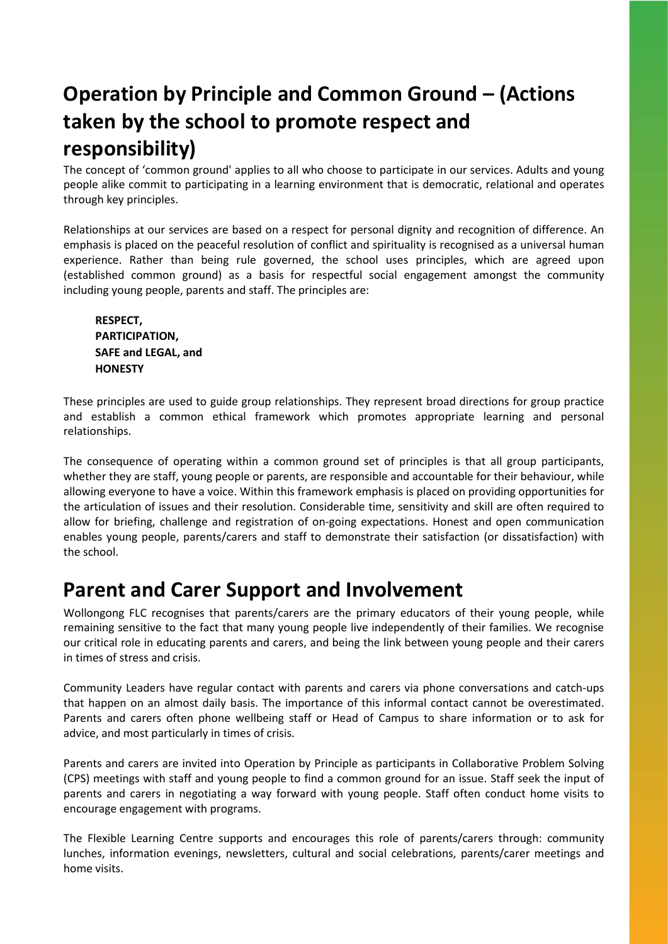## **Operation by Principle and Common Ground – (Actions taken by the school to promote respect and responsibility)**

The concept of 'common ground' applies to all who choose to participate in our services. Adults and young people alike commit to participating in a learning environment that is democratic, relational and operates through key principles.

Relationships at our services are based on a respect for personal dignity and recognition of difference. An emphasis is placed on the peaceful resolution of conflict and spirituality is recognised as a universal human experience. Rather than being rule governed, the school uses principles, which are agreed upon (established common ground) as a basis for respectful social engagement amongst the community including young people, parents and staff. The principles are:

**RESPECT, PARTICIPATION, SAFE and LEGAL, and HONESTY**

These principles are used to guide group relationships. They represent broad directions for group practice and establish a common ethical framework which promotes appropriate learning and personal relationships.

The consequence of operating within a common ground set of principles is that all group participants, whether they are staff, young people or parents, are responsible and accountable for their behaviour, while allowing everyone to have a voice. Within this framework emphasis is placed on providing opportunities for the articulation of issues and their resolution. Considerable time, sensitivity and skill are often required to allow for briefing, challenge and registration of on-going expectations. Honest and open communication enables young people, parents/carers and staff to demonstrate their satisfaction (or dissatisfaction) with the school.

### **Parent and Carer Support and Involvement**

Wollongong FLC recognises that parents/carers are the primary educators of their young people, while remaining sensitive to the fact that many young people live independently of their families. We recognise our critical role in educating parents and carers, and being the link between young people and their carers in times of stress and crisis.

Community Leaders have regular contact with parents and carers via phone conversations and catch-ups that happen on an almost daily basis. The importance of this informal contact cannot be overestimated. Parents and carers often phone wellbeing staff or Head of Campus to share information or to ask for advice, and most particularly in times of crisis.

Parents and carers are invited into Operation by Principle as participants in Collaborative Problem Solving (CPS) meetings with staff and young people to find a common ground for an issue. Staff seek the input of parents and carers in negotiating a way forward with young people. Staff often conduct home visits to encourage engagement with programs.

The Flexible Learning Centre supports and encourages this role of parents/carers through: community lunches, information evenings, newsletters, cultural and social celebrations, parents/carer meetings and home visits.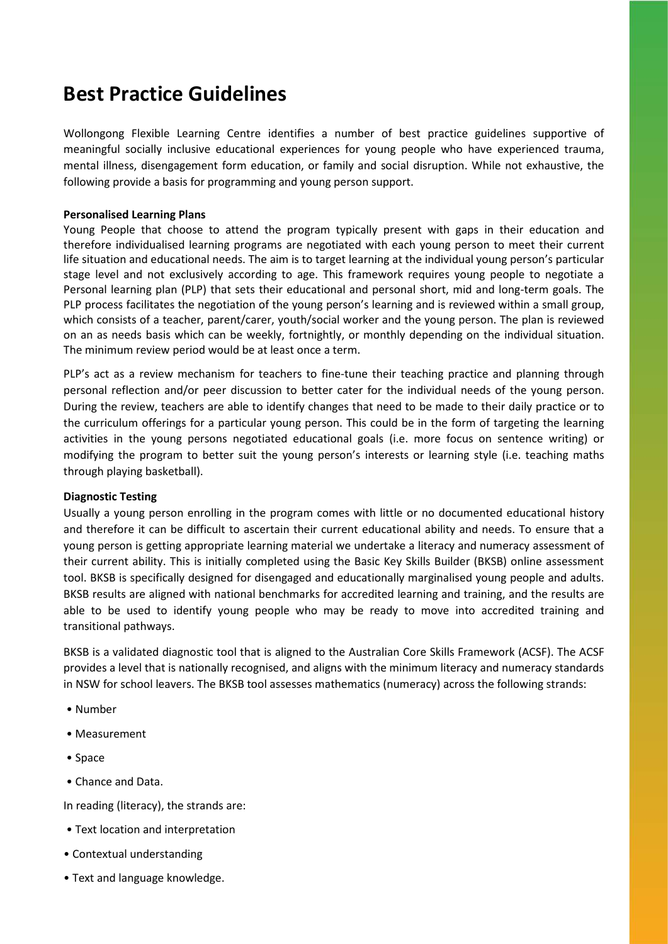### **Best Practice Guidelines**

Wollongong Flexible Learning Centre identifies a number of best practice guidelines supportive of meaningful socially inclusive educational experiences for young people who have experienced trauma, mental illness, disengagement form education, or family and social disruption. While not exhaustive, the following provide a basis for programming and young person support.

#### **Personalised Learning Plans**

Young People that choose to attend the program typically present with gaps in their education and therefore individualised learning programs are negotiated with each young person to meet their current life situation and educational needs. The aim is to target learning at the individual young person's particular stage level and not exclusively according to age. This framework requires young people to negotiate a Personal learning plan (PLP) that sets their educational and personal short, mid and long-term goals. The PLP process facilitates the negotiation of the young person's learning and is reviewed within a small group, which consists of a teacher, parent/carer, youth/social worker and the young person. The plan is reviewed on an as needs basis which can be weekly, fortnightly, or monthly depending on the individual situation. The minimum review period would be at least once a term.

PLP's act as a review mechanism for teachers to fine-tune their teaching practice and planning through personal reflection and/or peer discussion to better cater for the individual needs of the young person. During the review, teachers are able to identify changes that need to be made to their daily practice or to the curriculum offerings for a particular young person. This could be in the form of targeting the learning activities in the young persons negotiated educational goals (i.e. more focus on sentence writing) or modifying the program to better suit the young person's interests or learning style (i.e. teaching maths through playing basketball).

#### **Diagnostic Testing**

Usually a young person enrolling in the program comes with little or no documented educational history and therefore it can be difficult to ascertain their current educational ability and needs. To ensure that a young person is getting appropriate learning material we undertake a literacy and numeracy assessment of their current ability. This is initially completed using the Basic Key Skills Builder (BKSB) online assessment tool. BKSB is specifically designed for disengaged and educationally marginalised young people and adults. BKSB results are aligned with national benchmarks for accredited learning and training, and the results are able to be used to identify young people who may be ready to move into accredited training and transitional pathways.

BKSB is a validated diagnostic tool that is aligned to the Australian Core Skills Framework (ACSF). The ACSF provides a level that is nationally recognised, and aligns with the minimum literacy and numeracy standards in NSW for school leavers. The BKSB tool assesses mathematics (numeracy) across the following strands:

- Number
- Measurement
- Space
- Chance and Data.

In reading (literacy), the strands are:

- Text location and interpretation
- Contextual understanding
- Text and language knowledge.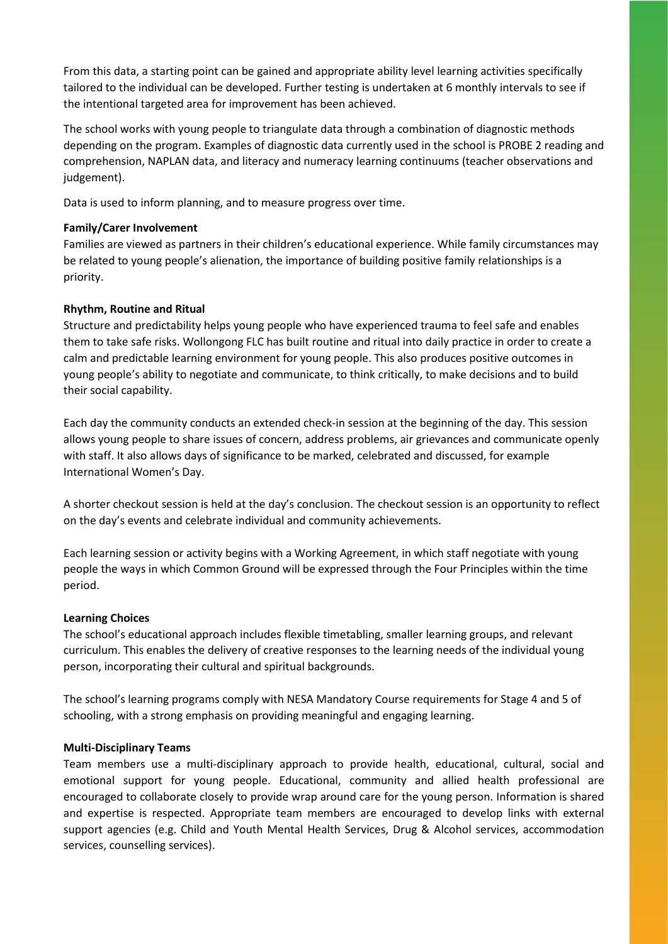From this data, a starting point can be gained and appropriate ability level learning activities specifically tailored to the individual can be developed. Further testing is undertaken at 6 monthly intervals to see if the intentional targeted area for improvement has been achieved.

The school works with young people to triangulate data through a combination of diagnostic methods depending on the program. Examples of diagnostic data currently used in the school is PROBE 2 reading and comprehension, NAPLAN data, and literacy and numeracy learning continuums (teacher observations and judgement).

Data is used to inform planning, and to measure progress over time.

#### **Family/Carer Involvement**

Families are viewed as partners in their children's educational experience. While family circumstances may be related to young people's alienation, the importance of building positive family relationships is a priority.

#### **Rhythm, Routine and Ritual**

Structure and predictability helps young people who have experienced trauma to feel safe and enables them to take safe risks. Wollongong FLC has built routine and ritual into daily practice in order to create a calm and predictable learning environment for young people. This also produces positive outcomes in young people's ability to negotiate and communicate, to think critically, to make decisions and to build their social capability.

Each day the community conducts an extended check-in session at the beginning of the day. This session allows young people to share issues of concern, address problems, air grievances and communicate openly with staff. It also allows days of significance to be marked, celebrated and discussed, for example International Women's Day.

A shorter checkout session is held at the day's conclusion. The checkout session is an opportunity to reflect on the day's events and celebrate individual and community achievements.

Each learning session or activity begins with a Working Agreement, in which staff negotiate with young people the ways in which Common Ground will be expressed through the Four Principles within the time period.

#### **Learning Choices**

The school's educational approach includes flexible timetabling, smaller learning groups, and relevant curriculum. This enables the delivery of creative responses to the learning needs of the individual young person, incorporating their cultural and spiritual backgrounds.

The school's learning programs comply with NESA Mandatory Course requirements for Stage 4 and 5 of schooling, with a strong emphasis on providing meaningful and engaging learning.

#### **Multi-Disciplinary Teams**

Team members use a multi-disciplinary approach to provide health, educational, cultural, social and emotional support for young people. Educational, community and allied health professional are encouraged to collaborate closely to provide wrap around care for the young person. Information is shared and expertise is respected. Appropriate team members are encouraged to develop links with external support agencies (e.g. Child and Youth Mental Health Services, Drug & Alcohol services, accommodation services, counselling services).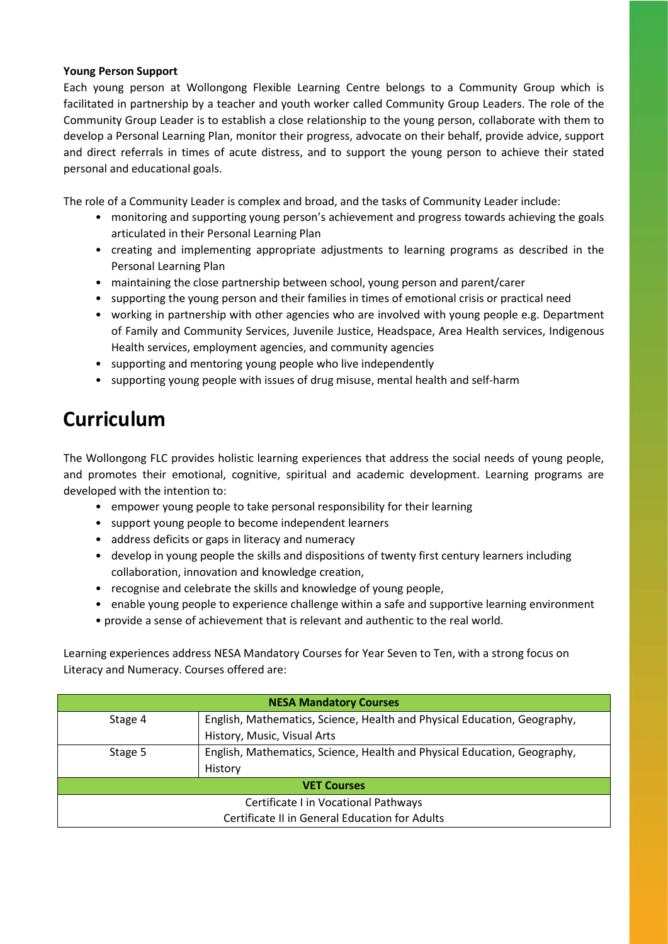#### **Young Person Support**

Each young person at Wollongong Flexible Learning Centre belongs to a Community Group which is facilitated in partnership by a teacher and youth worker called Community Group Leaders. The role of the Community Group Leader is to establish a close relationship to the young person, collaborate with them to develop a Personal Learning Plan, monitor their progress, advocate on their behalf, provide advice, support and direct referrals in times of acute distress, and to support the young person to achieve their stated personal and educational goals.

The role of a Community Leader is complex and broad, and the tasks of Community Leader include:

- monitoring and supporting young person's achievement and progress towards achieving the goals articulated in their Personal Learning Plan
- creating and implementing appropriate adjustments to learning programs as described in the Personal Learning Plan
- maintaining the close partnership between school, young person and parent/carer
- supporting the young person and their families in times of emotional crisis or practical need
- working in partnership with other agencies who are involved with young people e.g. Department of Family and Community Services, Juvenile Justice, Headspace, Area Health services, Indigenous Health services, employment agencies, and community agencies
- supporting and mentoring young people who live independently
- supporting young people with issues of drug misuse, mental health and self-harm

### **Curriculum**

The Wollongong FLC provides holistic learning experiences that address the social needs of young people, and promotes their emotional, cognitive, spiritual and academic development. Learning programs are developed with the intention to:

- empower young people to take personal responsibility for their learning
- support young people to become independent learners
- address deficits or gaps in literacy and numeracy
- develop in young people the skills and dispositions of twenty first century learners including collaboration, innovation and knowledge creation,
- recognise and celebrate the skills and knowledge of young people,
- enable young people to experience challenge within a safe and supportive learning environment
- provide a sense of achievement that is relevant and authentic to the real world.

Learning experiences address NESA Mandatory Courses for Year Seven to Ten, with a strong focus on Literacy and Numeracy. Courses offered are:

| <b>NESA Mandatory Courses</b>                  |                                                                          |  |  |
|------------------------------------------------|--------------------------------------------------------------------------|--|--|
| Stage 4                                        | English, Mathematics, Science, Health and Physical Education, Geography, |  |  |
|                                                | History, Music, Visual Arts                                              |  |  |
| Stage 5                                        | English, Mathematics, Science, Health and Physical Education, Geography, |  |  |
|                                                | History                                                                  |  |  |
| <b>VET Courses</b>                             |                                                                          |  |  |
| Certificate I in Vocational Pathways           |                                                                          |  |  |
| Certificate II in General Education for Adults |                                                                          |  |  |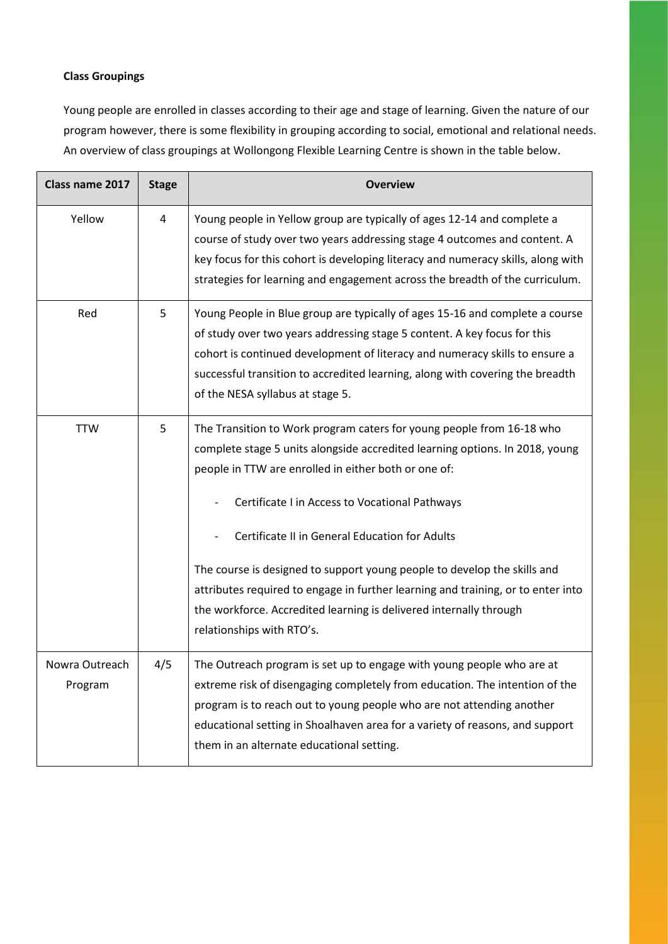#### **Class Groupings**

Young people are enrolled in classes according to their age and stage of learning. Given the nature of our program however, there is some flexibility in grouping according to social, emotional and relational needs. An overview of class groupings at Wollongong Flexible Learning Centre is shown in the table below.

| Class name 2017           | <b>Stage</b> | <b>Overview</b>                                                                                                                                                                                                                                                                                                                                                                                                                                                                                                                                                                      |
|---------------------------|--------------|--------------------------------------------------------------------------------------------------------------------------------------------------------------------------------------------------------------------------------------------------------------------------------------------------------------------------------------------------------------------------------------------------------------------------------------------------------------------------------------------------------------------------------------------------------------------------------------|
| Yellow                    | 4            | Young people in Yellow group are typically of ages 12-14 and complete a<br>course of study over two years addressing stage 4 outcomes and content. A<br>key focus for this cohort is developing literacy and numeracy skills, along with<br>strategies for learning and engagement across the breadth of the curriculum.                                                                                                                                                                                                                                                             |
| Red                       | 5            | Young People in Blue group are typically of ages 15-16 and complete a course<br>of study over two years addressing stage 5 content. A key focus for this<br>cohort is continued development of literacy and numeracy skills to ensure a<br>successful transition to accredited learning, along with covering the breadth<br>of the NESA syllabus at stage 5.                                                                                                                                                                                                                         |
| <b>TTW</b>                | 5            | The Transition to Work program caters for young people from 16-18 who<br>complete stage 5 units alongside accredited learning options. In 2018, young<br>people in TTW are enrolled in either both or one of:<br>Certificate I in Access to Vocational Pathways<br>Certificate II in General Education for Adults<br>The course is designed to support young people to develop the skills and<br>attributes required to engage in further learning and training, or to enter into<br>the workforce. Accredited learning is delivered internally through<br>relationships with RTO's. |
| Nowra Outreach<br>Program | 4/5          | The Outreach program is set up to engage with young people who are at<br>extreme risk of disengaging completely from education. The intention of the<br>program is to reach out to young people who are not attending another<br>educational setting in Shoalhaven area for a variety of reasons, and support<br>them in an alternate educational setting.                                                                                                                                                                                                                           |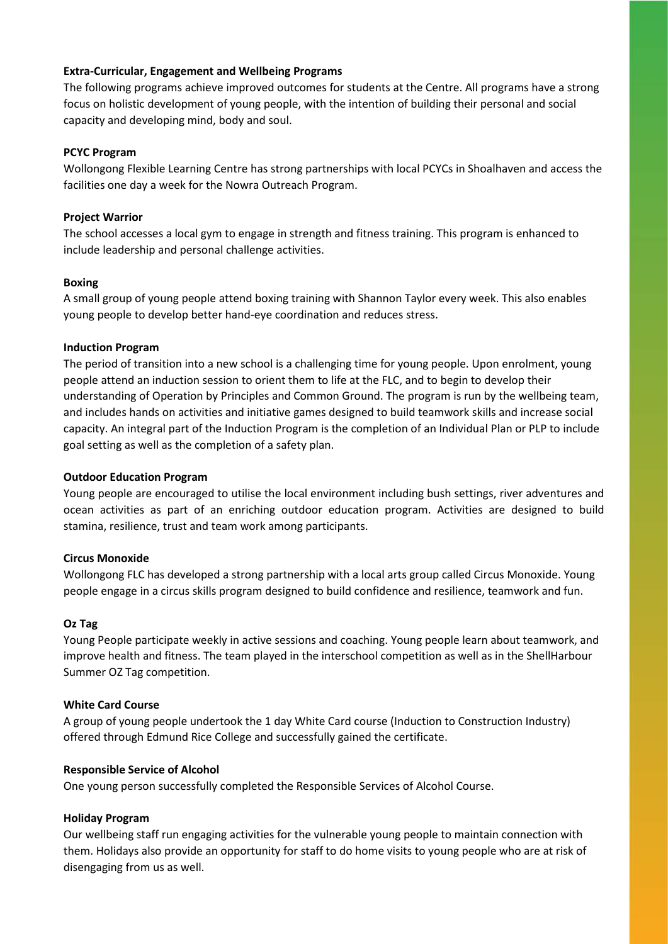#### **Extra-Curricular, Engagement and Wellbeing Programs**

The following programs achieve improved outcomes for students at the Centre. All programs have a strong focus on holistic development of young people, with the intention of building their personal and social capacity and developing mind, body and soul.

#### **PCYC Program**

Wollongong Flexible Learning Centre has strong partnerships with local PCYCs in Shoalhaven and access the facilities one day a week for the Nowra Outreach Program.

#### **Project Warrior**

The school accesses a local gym to engage in strength and fitness training. This program is enhanced to include leadership and personal challenge activities.

#### **Boxing**

A small group of young people attend boxing training with Shannon Taylor every week. This also enables young people to develop better hand-eye coordination and reduces stress.

#### **Induction Program**

The period of transition into a new school is a challenging time for young people. Upon enrolment, young people attend an induction session to orient them to life at the FLC, and to begin to develop their understanding of Operation by Principles and Common Ground. The program is run by the wellbeing team, and includes hands on activities and initiative games designed to build teamwork skills and increase social capacity. An integral part of the Induction Program is the completion of an Individual Plan or PLP to include goal setting as well as the completion of a safety plan.

#### **Outdoor Education Program**

Young people are encouraged to utilise the local environment including bush settings, river adventures and ocean activities as part of an enriching outdoor education program. Activities are designed to build stamina, resilience, trust and team work among participants.

#### **Circus Monoxide**

Wollongong FLC has developed a strong partnership with a local arts group called Circus Monoxide. Young people engage in a circus skills program designed to build confidence and resilience, teamwork and fun.

#### **Oz Tag**

Young People participate weekly in active sessions and coaching. Young people learn about teamwork, and improve health and fitness. The team played in the interschool competition as well as in the ShellHarbour Summer OZ Tag competition.

#### **White Card Course**

A group of young people undertook the 1 day White Card course (Induction to Construction Industry) offered through Edmund Rice College and successfully gained the certificate.

#### **Responsible Service of Alcohol**

One young person successfully completed the Responsible Services of Alcohol Course.

#### **Holiday Program**

Our wellbeing staff run engaging activities for the vulnerable young people to maintain connection with them. Holidays also provide an opportunity for staff to do home visits to young people who are at risk of disengaging from us as well.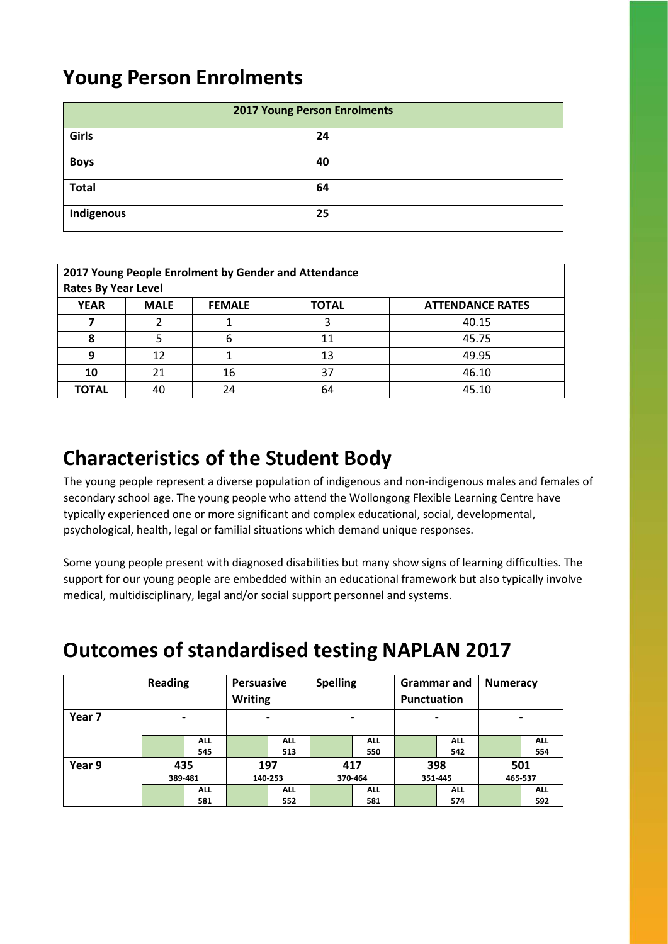### **Young Person Enrolments**

| <b>2017 Young Person Enrolments</b> |    |  |  |
|-------------------------------------|----|--|--|
| Girls                               | 24 |  |  |
| <b>Boys</b>                         | 40 |  |  |
| <b>Total</b>                        | 64 |  |  |
| Indigenous                          | 25 |  |  |

| 2017 Young People Enrolment by Gender and Attendance |             |               |              |                         |  |
|------------------------------------------------------|-------------|---------------|--------------|-------------------------|--|
| <b>Rates By Year Level</b>                           |             |               |              |                         |  |
| <b>YEAR</b>                                          | <b>MALE</b> | <b>FEMALE</b> | <b>TOTAL</b> | <b>ATTENDANCE RATES</b> |  |
|                                                      | า           |               | 3            | 40.15                   |  |
| 8                                                    |             |               | 11           | 45.75                   |  |
| 9                                                    | 12          |               | 13           | 49.95                   |  |
| 10                                                   | 21          | 16            | 37           | 46.10                   |  |
| <b>TOTAL</b>                                         | 40          | 24            | 64           | 45.10                   |  |

### **Characteristics of the Student Body**

The young people represent a diverse population of indigenous and non-indigenous males and females of secondary school age. The young people who attend the Wollongong Flexible Learning Centre have typically experienced one or more significant and complex educational, social, developmental, psychological, health, legal or familial situations which demand unique responses.

Some young people present with diagnosed disabilities but many show signs of learning difficulties. The support for our young people are embedded within an educational framework but also typically involve medical, multidisciplinary, legal and/or social support personnel and systems.

### **Outcomes of standardised testing NAPLAN 2017**

|        | <b>Reading</b> |            | <b>Persuasive</b><br><b>Writing</b> |                          | <b>Spelling</b>    |                | Grammar and<br>Punctuation |            | <b>Numeracy</b> |            |
|--------|----------------|------------|-------------------------------------|--------------------------|--------------------|----------------|----------------------------|------------|-----------------|------------|
| Year 7 |                |            |                                     | $\overline{\phantom{0}}$ |                    | $\blacksquare$ |                            |            |                 |            |
|        |                | <b>ALL</b> |                                     | <b>ALL</b>               |                    | <b>ALL</b>     |                            | <b>ALL</b> |                 | <b>ALL</b> |
|        |                | 545        |                                     | 513                      |                    | 550            |                            | 542        |                 | 554        |
| Year 9 |                | 435        | 197                                 |                          | 417                |                | 398                        |            | 501             |            |
|        |                | 389-481    |                                     | 140-253                  | 370-464<br>351-445 |                | 465-537                    |            |                 |            |
|        |                | <b>ALL</b> |                                     | <b>ALL</b>               |                    | <b>ALL</b>     |                            | <b>ALL</b> |                 | <b>ALL</b> |
|        |                | 581        |                                     | 552                      |                    | 581            |                            | 574        |                 | 592        |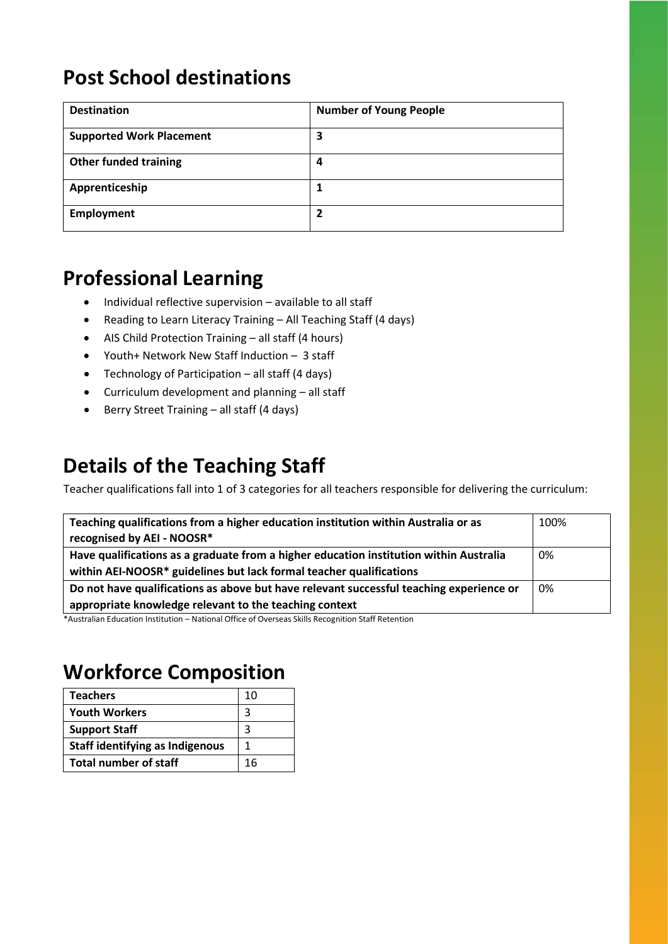### **Post School destinations**

| <b>Destination</b>              | <b>Number of Young People</b> |
|---------------------------------|-------------------------------|
| <b>Supported Work Placement</b> | 3                             |
| <b>Other funded training</b>    | 4                             |
| Apprenticeship                  |                               |
| Employment                      | 7                             |

### **Professional Learning**

- Individual reflective supervision available to all staff
- Reading to Learn Literacy Training All Teaching Staff (4 days)
- AIS Child Protection Training all staff (4 hours)
- Youth+ Network New Staff Induction 3 staff
- Technology of Participation all staff (4 days)
- Curriculum development and planning all staff
- Berry Street Training all staff (4 days)

### **Details of the Teaching Staff**

Teacher qualifications fall into 1 of 3 categories for all teachers responsible for delivering the curriculum:

| Teaching qualifications from a higher education institution within Australia or as<br>recognised by AEI - NOOSR*                                              | 100% |
|---------------------------------------------------------------------------------------------------------------------------------------------------------------|------|
| Have qualifications as a graduate from a higher education institution within Australia<br>within AEI-NOOSR* guidelines but lack formal teacher qualifications | 0%   |
| Do not have qualifications as above but have relevant successful teaching experience or<br>appropriate knowledge relevant to the teaching context             | 0%   |

\*Australian Education Institution – National Office of Overseas Skills Recognition Staff Retention

### **Workforce Composition**

| <b>Teachers</b>                        | 10 |
|----------------------------------------|----|
| <b>Youth Workers</b>                   | 3  |
| <b>Support Staff</b>                   | 3  |
| <b>Staff identifying as Indigenous</b> |    |
| <b>Total number of staff</b>           | 16 |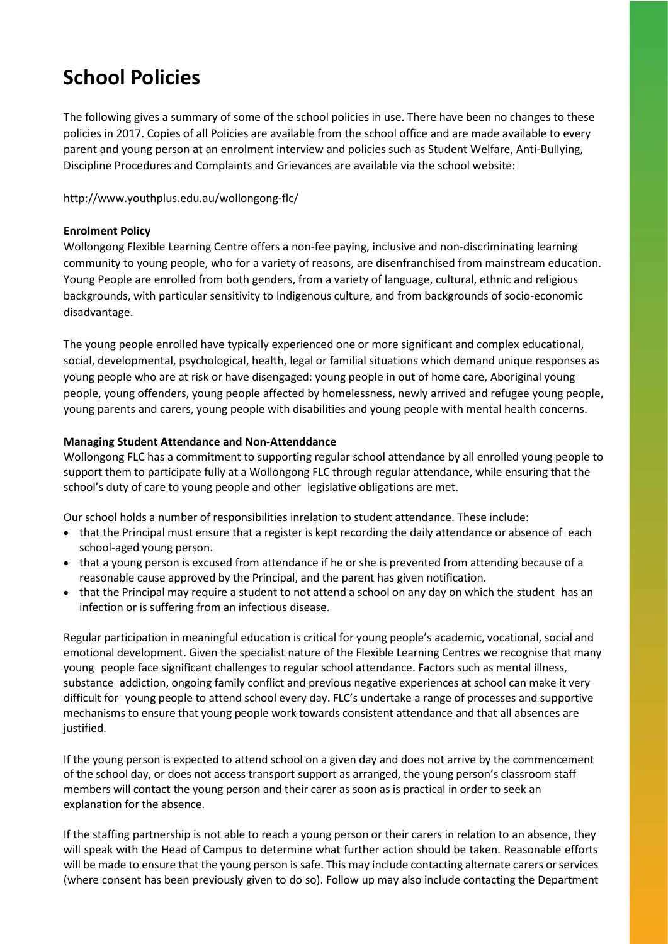### **School Policies**

The following gives a summary of some of the school policies in use. There have been no changes to these policies in 2017. Copies of all Policies are available from the school office and are made available to every parent and young person at an enrolment interview and policies such as Student Welfare, Anti-Bullying, Discipline Procedures and Complaints and Grievances are available via the school website:

http://www.youthplus.edu.au/wollongong-flc/

#### **Enrolment Policy**

Wollongong Flexible Learning Centre offers a non-fee paying, inclusive and non-discriminating learning community to young people, who for a variety of reasons, are disenfranchised from mainstream education. Young People are enrolled from both genders, from a variety of language, cultural, ethnic and religious backgrounds, with particular sensitivity to Indigenous culture, and from backgrounds of socio-economic disadvantage.

The young people enrolled have typically experienced one or more significant and complex educational, social, developmental, psychological, health, legal or familial situations which demand unique responses as young people who are at risk or have disengaged: young people in out of home care, Aboriginal young people, young offenders, young people affected by homelessness, newly arrived and refugee young people, young parents and carers, young people with disabilities and young people with mental health concerns.

#### **Managing Student Attendance and Non-Attenddance**

Wollongong FLC has a commitment to supporting regular school attendance by all enrolled young people to support them to participate fully at a Wollongong FLC through regular attendance, while ensuring that the school's duty of care to young people and other legislative obligations are met.

Our school holds a number of responsibilities inrelation to student attendance. These include:

- that the Principal must ensure that a register is kept recording the daily attendance or absence of each school-aged young person.
- that a young person is excused from attendance if he or she is prevented from attending because of a reasonable cause approved by the Principal, and the parent has given notification.
- that the Principal may require a student to not attend a school on any day on which the student has an infection or is suffering from an infectious disease.

Regular participation in meaningful education is critical for young people's academic, vocational, social and emotional development. Given the specialist nature of the Flexible Learning Centres we recognise that many young people face significant challenges to regular school attendance. Factors such as mental illness, substance addiction, ongoing family conflict and previous negative experiences at school can make it very difficult for young people to attend school every day. FLC's undertake a range of processes and supportive mechanisms to ensure that young people work towards consistent attendance and that all absences are justified.

If the young person is expected to attend school on a given day and does not arrive by the commencement of the school day, or does not access transport support as arranged, the young person's classroom staff members will contact the young person and their carer as soon as is practical in order to seek an explanation for the absence.

If the staffing partnership is not able to reach a young person or their carers in relation to an absence, they will speak with the Head of Campus to determine what further action should be taken. Reasonable efforts will be made to ensure that the young person is safe. This may include contacting alternate carers or services (where consent has been previously given to do so). Follow up may also include contacting the Department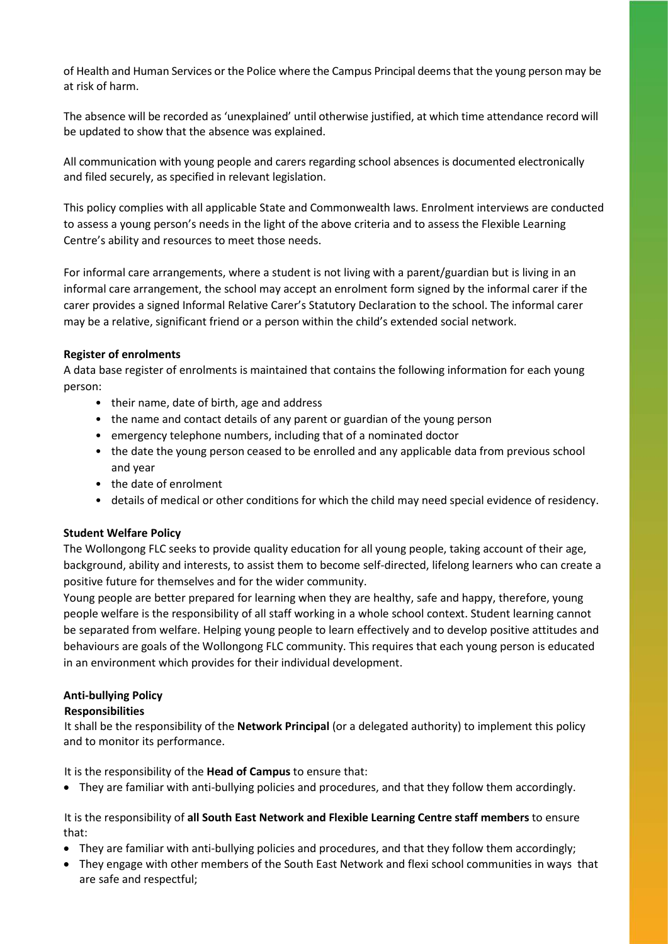of Health and Human Services or the Police where the Campus Principal deemsthat the young person may be at risk of harm.

The absence will be recorded as 'unexplained' until otherwise justified, at which time attendance record will be updated to show that the absence was explained.

All communication with young people and carers regarding school absences is documented electronically and filed securely, as specified in relevant legislation.

This policy complies with all applicable State and Commonwealth laws. Enrolment interviews are conducted to assess a young person's needs in the light of the above criteria and to assess the Flexible Learning Centre's ability and resources to meet those needs.

For informal care arrangements, where a student is not living with a parent/guardian but is living in an informal care arrangement, the school may accept an enrolment form signed by the informal carer if the carer provides a signed Informal Relative Carer's Statutory Declaration to the school. The informal carer may be a relative, significant friend or a person within the child's extended social network.

#### **Register of enrolments**

A data base register of enrolments is maintained that contains the following information for each young person:

- their name, date of birth, age and address
- the name and contact details of any parent or guardian of the young person
- emergency telephone numbers, including that of a nominated doctor
- the date the young person ceased to be enrolled and any applicable data from previous school and year
- the date of enrolment
- details of medical or other conditions for which the child may need special evidence of residency.

#### **Student Welfare Policy**

The Wollongong FLC seeks to provide quality education for all young people, taking account of their age, background, ability and interests, to assist them to become self-directed, lifelong learners who can create a positive future for themselves and for the wider community.

Young people are better prepared for learning when they are healthy, safe and happy, therefore, young people welfare is the responsibility of all staff working in a whole school context. Student learning cannot be separated from welfare. Helping young people to learn effectively and to develop positive attitudes and behaviours are goals of the Wollongong FLC community. This requires that each young person is educated in an environment which provides for their individual development.

#### **Anti-bullying Policy**

#### **Responsibilities**

It shall be the responsibility of the **Network Principal** (or a delegated authority) to implement this policy and to monitor its performance.

It is the responsibility of the **Head of Campus** to ensure that:

• They are familiar with anti-bullying policies and procedures, and that they follow them accordingly.

#### It is the responsibility of **all South East Network and Flexible Learning Centre staff members** to ensure that:

- They are familiar with anti-bullying policies and procedures, and that they follow them accordingly;
- They engage with other members of the South East Network and flexi school communities in ways that are safe and respectful;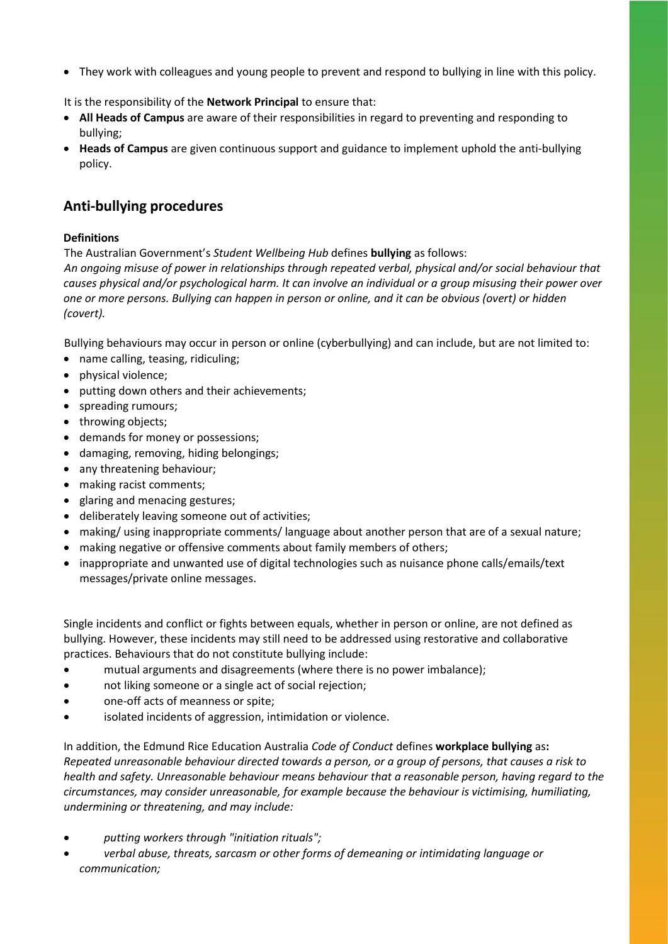• They work with colleagues and young people to prevent and respond to bullying in line with this policy.

It is the responsibility of the **Network Principal** to ensure that:

- **All Heads of Campus** are aware of their responsibilities in regard to preventing and responding to bullying;
- **Heads of Campus** are given continuous support and guidance to implement uphold the anti-bullying policy.

### **Anti-bullying procedures**

#### **Definitions**

The Australian Government's *Student Wellbeing Hub* defines **bullying** as follows:

*An ongoing misuse of power in relationships through repeated verbal, physical and/or social behaviour that causes physical and/or psychological harm. It can involve an individual or a group misusing their power over one or more persons. Bullying can happen in person or online, and it can be obvious (overt) or hidden (covert).*

Bullying behaviours may occur in person or online (cyberbullying) and can include, but are not limited to:

- name calling, teasing, ridiculing;
- physical violence;
- putting down others and their achievements;
- spreading rumours;
- throwing objects;
- demands for money or possessions;
- damaging, removing, hiding belongings;
- any threatening behaviour;
- making racist comments;
- glaring and menacing gestures;
- deliberately leaving someone out of activities;
- making/ using inappropriate comments/ language about another person that are of a sexual nature;
- making negative or offensive comments about family members of others;
- inappropriate and unwanted use of digital technologies such as nuisance phone calls/emails/text messages/private online messages.

Single incidents and conflict or fights between equals, whether in person or online, are not defined as bullying. However, these incidents may still need to be addressed using restorative and collaborative practices. Behaviours that do not constitute bullying include:

- mutual arguments and disagreements (where there is no power imbalance);
- not liking someone or a single act of social rejection;
- one-off acts of meanness or spite;
- isolated incidents of aggression, intimidation or violence.

In addition, the Edmund Rice Education Australia *Code of Conduct* defines **workplace bullying** as**:**  *Repeated unreasonable behaviour directed towards a person, or a group of persons, that causes a risk to health and safety. Unreasonable behaviour means behaviour that a reasonable person, having regard to the circumstances, may consider unreasonable, for example because the behaviour is victimising, humiliating, undermining or threatening, and may include:*

- *putting workers through "initiation rituals";*
- *verbal abuse, threats, sarcasm or other forms of demeaning or intimidating language or communication;*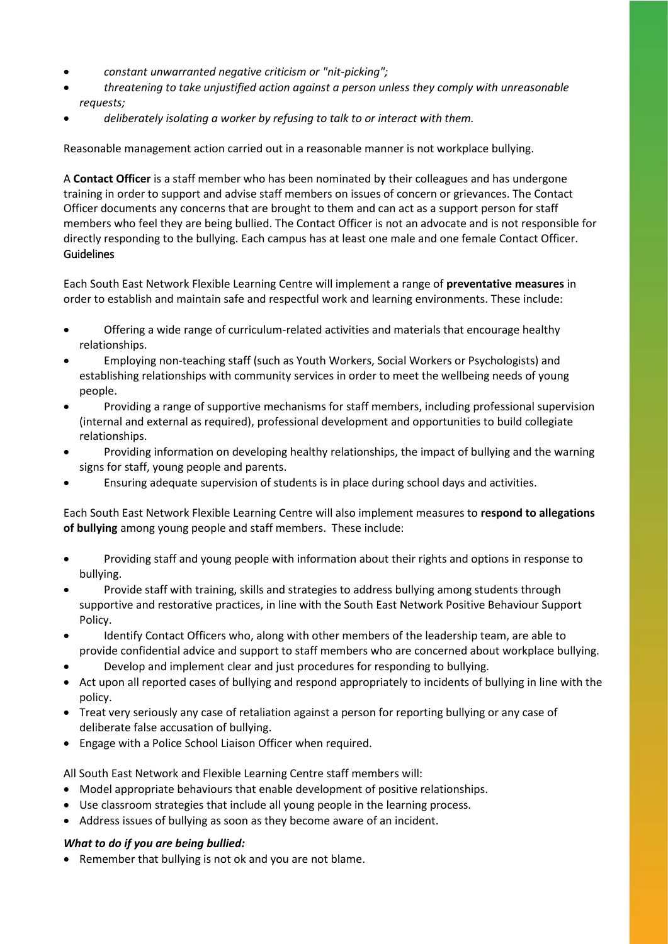- *constant unwarranted negative criticism or "nit-picking";*
- *threatening to take unjustified action against a person unless they comply with unreasonable requests;*
- *deliberately isolating a worker by refusing to talk to or interact with them.*

Reasonable management action carried out in a reasonable manner is not workplace bullying.

A **Contact Officer** is a staff member who has been nominated by their colleagues and has undergone training in order to support and advise staff members on issues of concern or grievances. The Contact Officer documents any concerns that are brought to them and can act as a support person for staff members who feel they are being bullied. The Contact Officer is not an advocate and is not responsible for directly responding to the bullying. Each campus has at least one male and one female Contact Officer. Guidelines

Each South East Network Flexible Learning Centre will implement a range of **preventative measures** in order to establish and maintain safe and respectful work and learning environments. These include:

- Offering a wide range of curriculum-related activities and materials that encourage healthy relationships.
- Employing non-teaching staff (such as Youth Workers, Social Workers or Psychologists) and establishing relationships with community services in order to meet the wellbeing needs of young people.
- Providing a range of supportive mechanisms for staff members, including professional supervision (internal and external as required), professional development and opportunities to build collegiate relationships.
- Providing information on developing healthy relationships, the impact of bullying and the warning signs for staff, young people and parents.
- Ensuring adequate supervision of students is in place during school days and activities.

Each South East Network Flexible Learning Centre will also implement measures to **respond to allegations of bullying** among young people and staff members. These include:

- Providing staff and young people with information about their rights and options in response to bullying.
- Provide staff with training, skills and strategies to address bullying among students through supportive and restorative practices, in line with the South East Network Positive Behaviour Support Policy.
- Identify Contact Officers who, along with other members of the leadership team, are able to provide confidential advice and support to staff members who are concerned about workplace bullying.
- Develop and implement clear and just procedures for responding to bullying.
- Act upon all reported cases of bullying and respond appropriately to incidents of bullying in line with the policy.
- Treat very seriously any case of retaliation against a person for reporting bullying or any case of deliberate false accusation of bullying.
- Engage with a Police School Liaison Officer when required.

All South East Network and Flexible Learning Centre staff members will:

- Model appropriate behaviours that enable development of positive relationships.
- Use classroom strategies that include all young people in the learning process.
- Address issues of bullying as soon as they become aware of an incident.

#### *What to do if you are being bullied:*

• Remember that bullying is not ok and you are not blame.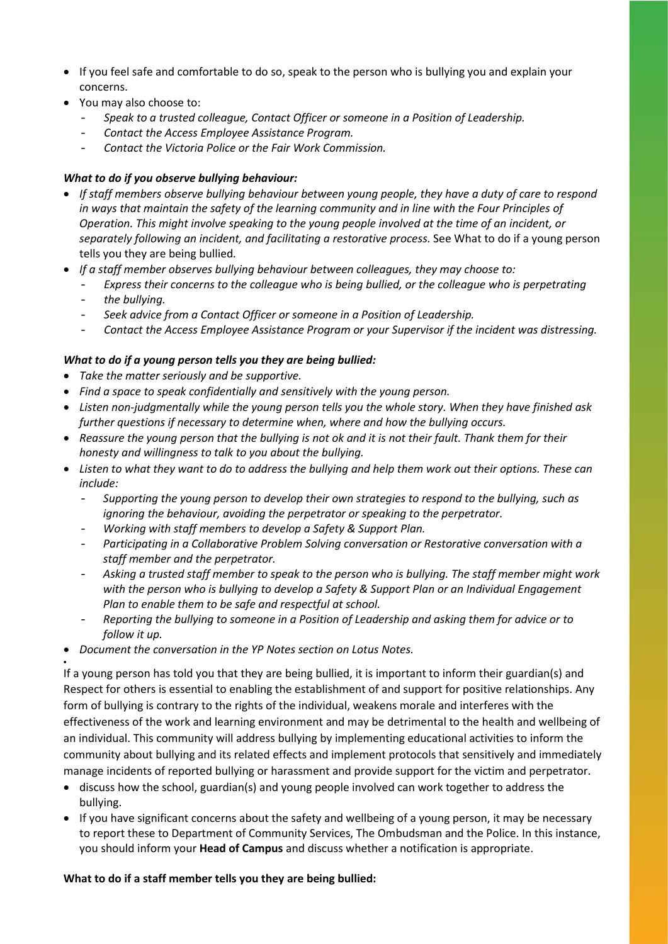- If you feel safe and comfortable to do so, speak to the person who is bullying you and explain your concerns.
- You may also choose to:
	- *Speak to a trusted colleague, Contact Officer or someone in a Position of Leadership.*
	- *Contact the Access Employee Assistance Program.*
	- *Contact the Victoria Police or the Fair Work Commission.*

#### *What to do if you observe bullying behaviour:*

- *If staff members observe bullying behaviour between young people, they have a duty of care to respond in ways that maintain the safety of the learning community and in line with the Four Principles of Operation. This might involve speaking to the young people involved at the time of an incident, or separately following an incident, and facilitating a restorative process.* See What to do if a young person tells you they are being bullied*.*
- *If a staff member observes bullying behaviour between colleagues, they may choose to:* 
	- *Express their concerns to the colleague who is being bullied, or the colleague who is perpetrating*
	- *the bullying.*

•

- *Seek advice from a Contact Officer or someone in a Position of Leadership.*
- *Contact the Access Employee Assistance Program or your Supervisor if the incident was distressing.*

#### *What to do if a young person tells you they are being bullied:*

- *Take the matter seriously and be supportive.*
- *Find a space to speak confidentially and sensitively with the young person.*
- *Listen non-judgmentally while the young person tells you the whole story. When they have finished ask further questions if necessary to determine when, where and how the bullying occurs.*
- *Reassure the young person that the bullying is not ok and it is not their fault. Thank them for their honesty and willingness to talk to you about the bullying.*
- *Listen to what they want to do to address the bullying and help them work out their options. These can include:* 
	- *Supporting the young person to develop their own strategies to respond to the bullying, such as ignoring the behaviour, avoiding the perpetrator or speaking to the perpetrator.*
	- *Working with staff members to develop a Safety & Support Plan.*
	- *Participating in a Collaborative Problem Solving conversation or Restorative conversation with a staff member and the perpetrator.*
	- *Asking a trusted staff member to speak to the person who is bullying. The staff member might work with the person who is bullying to develop a Safety & Support Plan or an Individual Engagement Plan to enable them to be safe and respectful at school.*
	- *Reporting the bullying to someone in a Position of Leadership and asking them for advice or to follow it up.*
- *Document the conversation in the YP Notes section on Lotus Notes.*

If a young person has told you that they are being bullied, it is important to inform their guardian(s) and Respect for others is essential to enabling the establishment of and support for positive relationships. Any form of bullying is contrary to the rights of the individual, weakens morale and interferes with the effectiveness of the work and learning environment and may be detrimental to the health and wellbeing of an individual. This community will address bullying by implementing educational activities to inform the community about bullying and its related effects and implement protocols that sensitively and immediately manage incidents of reported bullying or harassment and provide support for the victim and perpetrator.

- discuss how the school, guardian(s) and young people involved can work together to address the bullying.
- If you have significant concerns about the safety and wellbeing of a young person, it may be necessary to report these to Department of Community Services, The Ombudsman and the Police. In this instance, you should inform your **Head of Campus** and discuss whether a notification is appropriate.

#### **What to do if a staff member tells you they are being bullied:**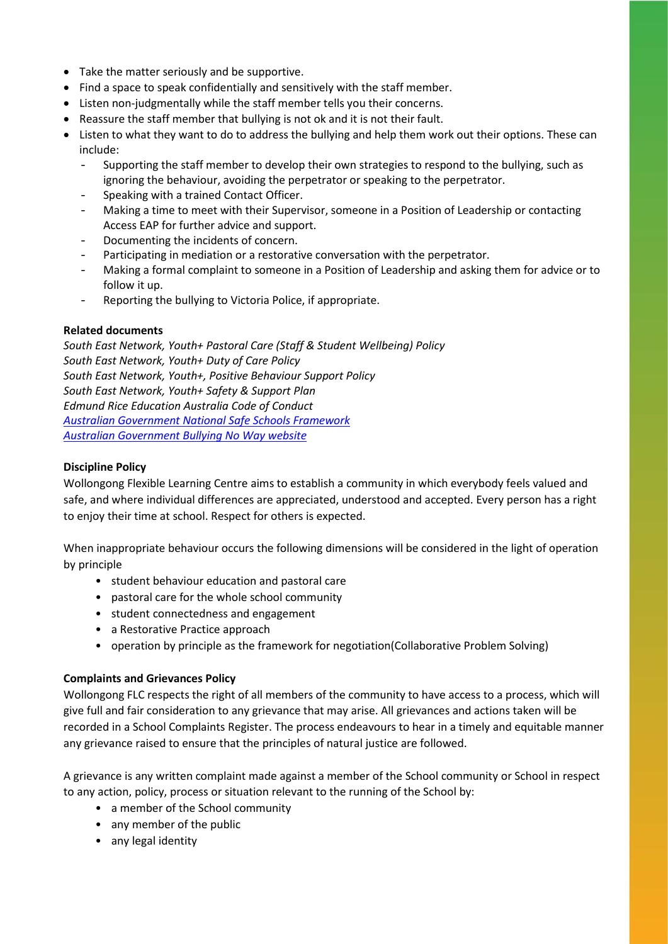- Take the matter seriously and be supportive.
- Find a space to speak confidentially and sensitively with the staff member.
- Listen non-judgmentally while the staff member tells you their concerns.
- Reassure the staff member that bullying is not ok and it is not their fault.
- Listen to what they want to do to address the bullying and help them work out their options. These can include:
	- Supporting the staff member to develop their own strategies to respond to the bullying, such as ignoring the behaviour, avoiding the perpetrator or speaking to the perpetrator.
	- Speaking with a trained Contact Officer.
	- Making a time to meet with their Supervisor, someone in a Position of Leadership or contacting Access EAP for further advice and support.
	- Documenting the incidents of concern.
	- Participating in mediation or a restorative conversation with the perpetrator.
	- Making a formal complaint to someone in a Position of Leadership and asking them for advice or to follow it up.
	- Reporting the bullying to Victoria Police, if appropriate.

#### **Related documents**

*South East Network, Youth+ Pastoral Care (Staff & Student Wellbeing) Policy South East Network, Youth+ Duty of Care Policy South East Network, Youth+, Positive Behaviour Support Policy South East Network, Youth+ Safety & Support Plan Edmund Rice Education Australia Code of Conduct [Australian Government National Safe Schools Framework](https://www.studentwellbeinghub.edu.au/educators/national-safe-schools-framework#/) [Australian Government Bullying No Way website](https://bullyingnoway.gov.au/)*

#### **Discipline Policy**

Wollongong Flexible Learning Centre aims to establish a community in which everybody feels valued and safe, and where individual differences are appreciated, understood and accepted. Every person has a right to enjoy their time at school. Respect for others is expected.

When inappropriate behaviour occurs the following dimensions will be considered in the light of operation by principle

- student behaviour education and pastoral care
- pastoral care for the whole school community
- student connectedness and engagement
- a Restorative Practice approach
- operation by principle as the framework for negotiation(Collaborative Problem Solving)

#### **Complaints and Grievances Policy**

Wollongong FLC respects the right of all members of the community to have access to a process, which will give full and fair consideration to any grievance that may arise. All grievances and actions taken will be recorded in a School Complaints Register. The process endeavours to hear in a timely and equitable manner any grievance raised to ensure that the principles of natural justice are followed.

A grievance is any written complaint made against a member of the School community or School in respect to any action, policy, process or situation relevant to the running of the School by:

- a member of the School community
- any member of the public
- any legal identity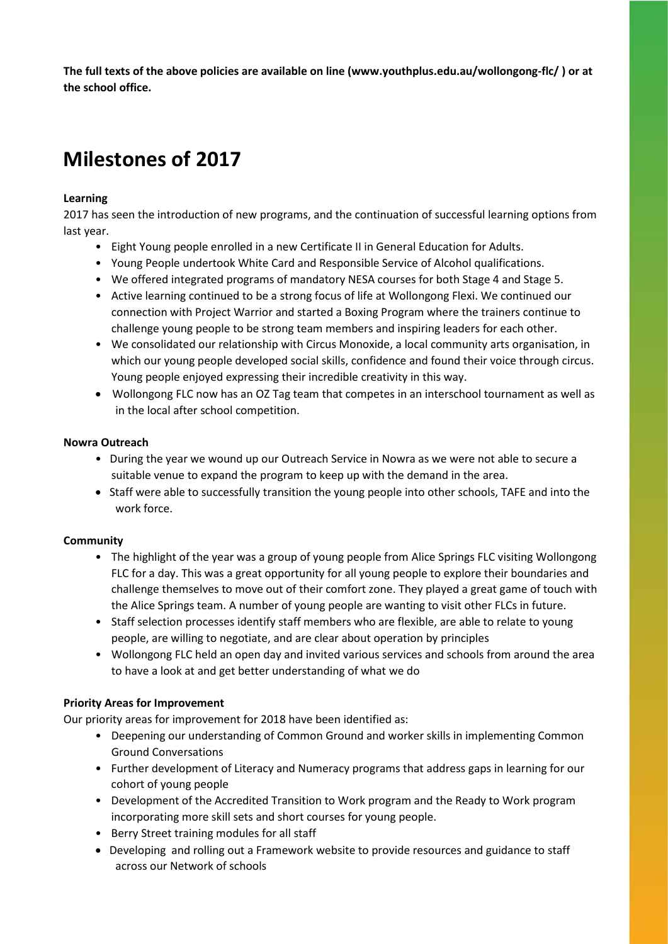**The full texts of the above policies are available on line (www.youthplus.edu.au/wollongong-flc/ ) or at the school office.**

### **Milestones of 2017**

#### **Learning**

2017 has seen the introduction of new programs, and the continuation of successful learning options from last year.

- Eight Young people enrolled in a new Certificate II in General Education for Adults.
- Young People undertook White Card and Responsible Service of Alcohol qualifications.
- We offered integrated programs of mandatory NESA courses for both Stage 4 and Stage 5.
- Active learning continued to be a strong focus of life at Wollongong Flexi. We continued our connection with Project Warrior and started a Boxing Program where the trainers continue to challenge young people to be strong team members and inspiring leaders for each other.
- We consolidated our relationship with Circus Monoxide, a local community arts organisation, in which our young people developed social skills, confidence and found their voice through circus. Young people enjoyed expressing their incredible creativity in this way.
- Wollongong FLC now has an OZ Tag team that competes in an interschool tournament as well as in the local after school competition.

#### **Nowra Outreach**

- During the year we wound up our Outreach Service in Nowra as we were not able to secure a suitable venue to expand the program to keep up with the demand in the area.
- Staff were able to successfully transition the young people into other schools, TAFE and into the work force.

#### **Community**

- The highlight of the year was a group of young people from Alice Springs FLC visiting Wollongong FLC for a day. This was a great opportunity for all young people to explore their boundaries and challenge themselves to move out of their comfort zone. They played a great game of touch with the Alice Springs team. A number of young people are wanting to visit other FLCs in future.
- Staff selection processes identify staff members who are flexible, are able to relate to young people, are willing to negotiate, and are clear about operation by principles
- Wollongong FLC held an open day and invited various services and schools from around the area to have a look at and get better understanding of what we do

#### **Priority Areas for Improvement**

Our priority areas for improvement for 2018 have been identified as:

- Deepening our understanding of Common Ground and worker skills in implementing Common Ground Conversations
- Further development of Literacy and Numeracy programs that address gaps in learning for our cohort of young people
- Development of the Accredited Transition to Work program and the Ready to Work program incorporating more skill sets and short courses for young people.
- Berry Street training modules for all staff
- Developing and rolling out a Framework website to provide resources and guidance to staff across our Network of schools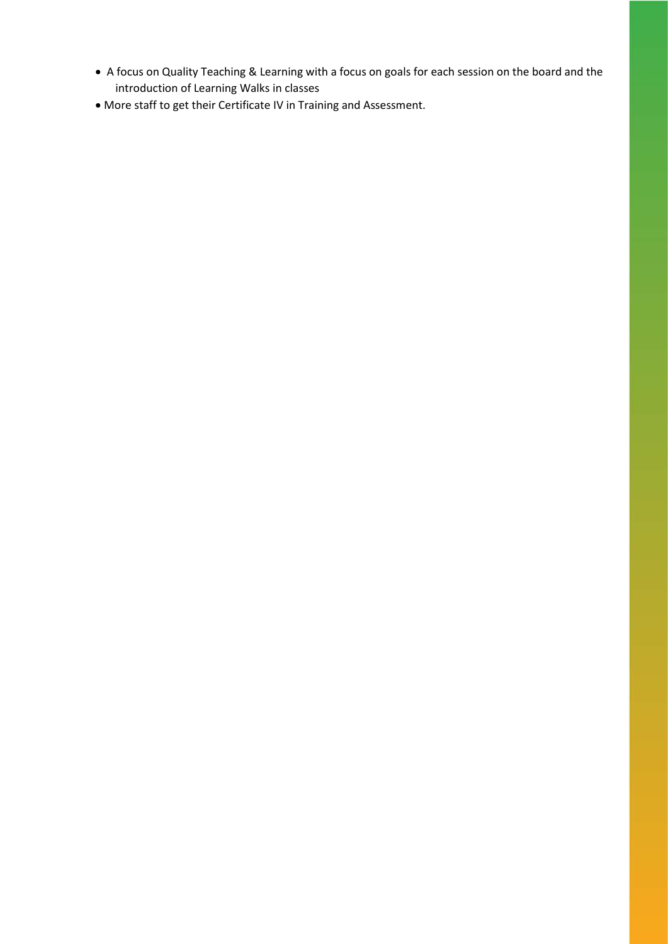- A focus on Quality Teaching & Learning with a focus on goals for each session on the board and the introduction of Learning Walks in classes
- More staff to get their Certificate IV in Training and Assessment.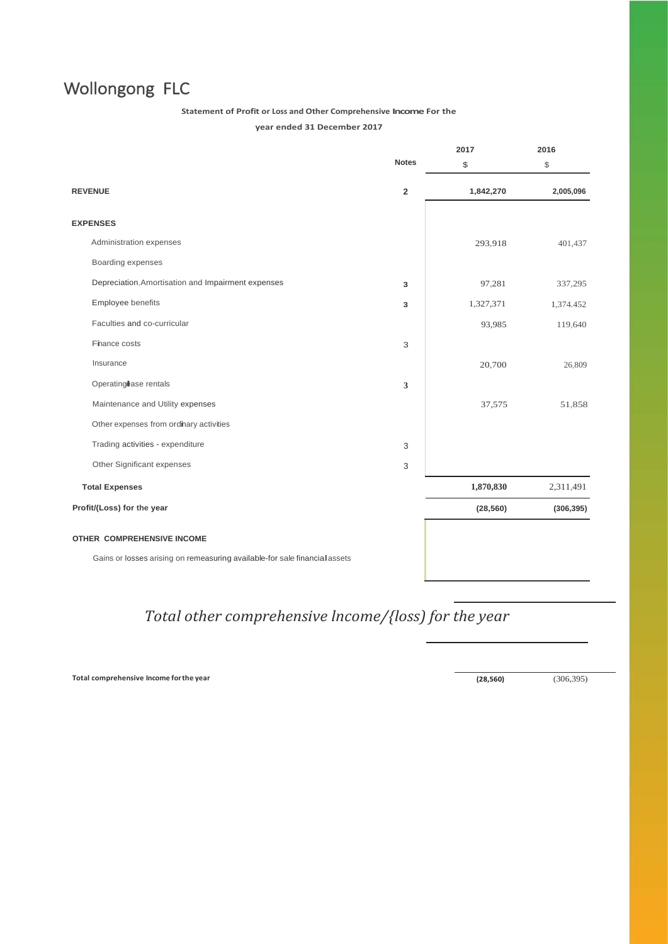### Wollongong FLC

#### **Statement of Profit or Loss and Other Comprehensive Income For the**

**year ended 31 December 2017**

|                                                                            |                | 2017      | 2016       |
|----------------------------------------------------------------------------|----------------|-----------|------------|
|                                                                            | <b>Notes</b>   | \$        | \$         |
| <b>REVENUE</b>                                                             | $\overline{2}$ | 1,842,270 | 2,005,096  |
| <b>EXPENSES</b>                                                            |                |           |            |
| Administration expenses                                                    |                | 293,918   | 401,437    |
| Boarding expenses                                                          |                |           |            |
| Depreciation, Amortisation and Impairment expenses                         | 3              | 97,281    | 337,295    |
| Employee benefits                                                          | 3              | 1,327,371 | 1,374.452  |
| Faculties and co-curricular                                                |                | 93,985    | 119,640    |
| Finance costs                                                              | 3              |           |            |
| Insurance                                                                  |                | 20,700    | 26,809     |
| Operating ase rentals                                                      | 3              |           |            |
| Maintenance and Utility expenses                                           |                | 37,575    | 51,858     |
| Other expenses from ordinary activities                                    |                |           |            |
| Trading activities - expenditure                                           | 3              |           |            |
| Other Significant expenses                                                 | 3              |           |            |
| <b>Total Expenses</b>                                                      |                | 1,870,830 | 2,311,491  |
| Profit/(Loss) for the year                                                 |                | (28, 560) | (306, 395) |
| OTHER COMPREHENSIVE INCOME                                                 |                |           |            |
| Gains or losses arising on remeasuring available-for sale financial assets |                |           |            |

### *Total other comprehensive lncome/{loss) for the year*

**Total comprehensive Income forthe year (28,560)** (306,395)